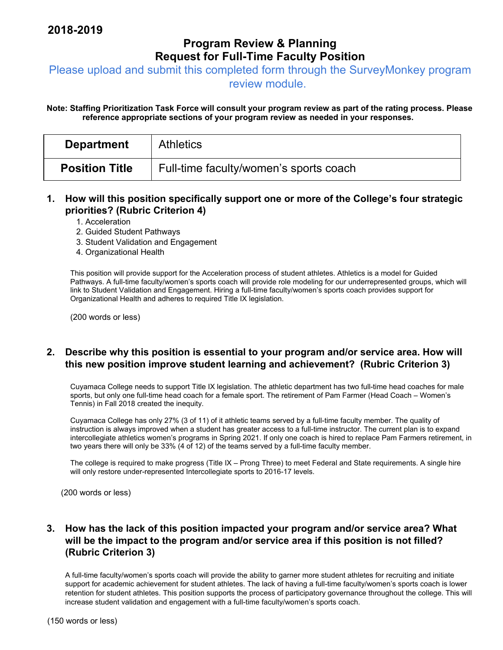## **Program Review & Planning Request for Full-Time Faculty Position**

Please upload and submit this completed form through the SurveyMonkey program

review module.

**Note: Staffing Prioritization Task Force will consult your program review as part of the rating process. Please reference appropriate sections of your program review as needed in your responses.** 

| <b>Department</b>     | <b>Athletics</b>                       |
|-----------------------|----------------------------------------|
| <b>Position Title</b> | Full-time faculty/women's sports coach |

### **1. How will this position specifically support one or more of the College's four strategic priorities? (Rubric Criterion 4)**

- 1. Acceleration
- 2. Guided Student Pathways
- 3. Student Validation and Engagement
- 4. Organizational Health

This position will provide support for the Acceleration process of student athletes. Athletics is a model for Guided Pathways. A full-time faculty/women's sports coach will provide role modeling for our underrepresented groups, which will link to Student Validation and Engagement. Hiring a full-time faculty/women's sports coach provides support for Organizational Health and adheres to required Title IX legislation.

(200 words or less)

#### **2. Describe why this position is essential to your program and/or service area. How will this new position improve student learning and achievement? (Rubric Criterion 3)**

Cuyamaca College needs to support Title IX legislation. The athletic department has two full-time head coaches for male sports, but only one full-time head coach for a female sport. The retirement of Pam Farmer (Head Coach – Women's Tennis) in Fall 2018 created the inequity.

Cuyamaca College has only 27% (3 of 11) of it athletic teams served by a full-time faculty member. The quality of instruction is always improved when a student has greater access to a full-time instructor. The current plan is to expand intercollegiate athletics women's programs in Spring 2021. If only one coach is hired to replace Pam Farmers retirement, in two years there will only be 33% (4 of 12) of the teams served by a full-time faculty member.

The college is required to make progress (Title IX – Prong Three) to meet Federal and State requirements. A single hire will only restore under-represented Intercollegiate sports to 2016-17 levels.

(200 words or less)

### **3. How has the lack of this position impacted your program and/or service area? What will be the impact to the program and/or service area if this position is not filled? (Rubric Criterion 3)**

A full-time faculty/women's sports coach will provide the ability to garner more student athletes for recruiting and initiate support for academic achievement for student athletes. The lack of having a full-time faculty/women's sports coach is lower retention for student athletes. This position supports the process of participatory governance throughout the college. This will increase student validation and engagement with a full-time faculty/women's sports coach.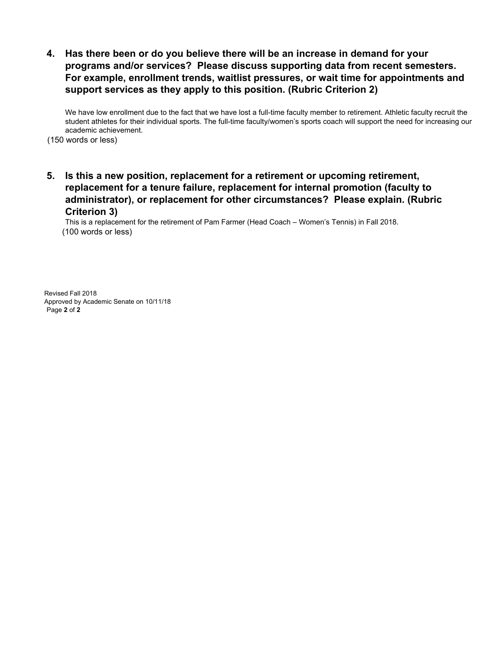**4. Has there been or do you believe there will be an increase in demand for your programs and/or services? Please discuss supporting data from recent semesters. For example, enrollment trends, waitlist pressures, or wait time for appointments and support services as they apply to this position. (Rubric Criterion 2)** 

We have low enrollment due to the fact that we have lost a full-time faculty member to retirement. Athletic faculty recruit the student athletes for their individual sports. The full-time faculty/women's sports coach will support the need for increasing our academic achievement.

(150 words or less)

**5. Is this a new position, replacement for a retirement or upcoming retirement, replacement for a tenure failure, replacement for internal promotion (faculty to administrator), or replacement for other circumstances? Please explain. (Rubric Criterion 3)** 

This is a replacement for the retirement of Pam Farmer (Head Coach – Women's Tennis) in Fall 2018. (100 words or less)

Revised Fall 2018 Approved by Academic Senate on 10/11/18 Page **2** of **2**